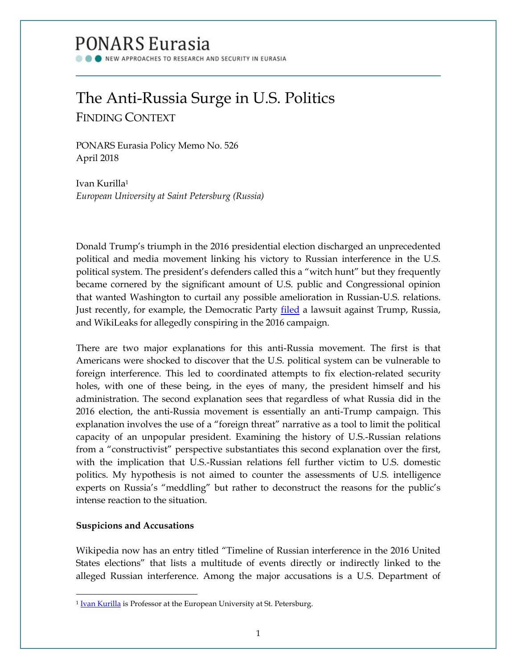# PONARS Eurasia

NEW APPROACHES TO RESEARCH AND SECURITY IN EURASIA

# The Anti-Russia Surge in U.S. Politics FINDING CONTEXT

PONARS Eurasia Policy Memo No. 526 April 2018

Ivan Kurilla<sup>1</sup> *European University at Saint Petersburg (Russia)* 

Donald Trump's triumph in the 2016 presidential election discharged an unprecedented political and media movement linking his victory to Russian interference in the U.S. political system. The president's defenders called this a "witch hunt" but they frequently became cornered by the significant amount of U.S. public and Congressional opinion that wanted Washington to curtail any possible amelioration in Russian-U.S. relations. Just recently, for example, the Democratic Party **filed** a lawsuit against Trump, Russia, and WikiLeaks for allegedly conspiring in the 2016 campaign.

There are two major explanations for this anti-Russia movement. The first is that Americans were shocked to discover that the U.S. political system can be vulnerable to foreign interference. This led to coordinated attempts to fix election-related security holes, with one of these being, in the eyes of many, the president himself and his administration. The second explanation sees that regardless of what Russia did in the 2016 election, the anti-Russia movement is essentially an anti-Trump campaign. This explanation involves the use of a "foreign threat" narrative as a tool to limit the political capacity of an unpopular president. Examining the history of U.S.-Russian relations from a "constructivist" perspective substantiates this second explanation over the first, with the implication that U.S.-Russian relations fell further victim to U.S. domestic politics. My hypothesis is not aimed to counter the assessments of U.S. intelligence experts on Russia's "meddling" but rather to deconstruct the reasons for the public's intense reaction to the situation.

## **Suspicions and Accusations**

 $\overline{\phantom{a}}$ 

Wikipedia now has an entry titled "Timeline of Russian interference in the 2016 United States elections" that lists a multitude of events directly or indirectly linked to the alleged Russian interference. Among the major accusations is a U.S. Department of

<sup>&</sup>lt;sup>1</sup> [Ivan Kurilla](http://www.ponarseurasia.org/members/ivan-kurilla) is Professor at the European University at St. Petersburg.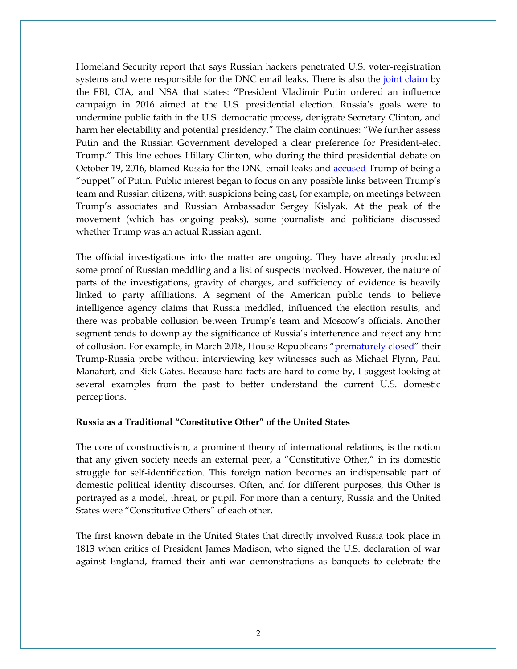Homeland Security report that says Russian hackers penetrated U.S. voter-registration systems and were responsible for the DNC email leaks. There is also the [joint claim](https://www.dni.gov/files/documents/ICA_2017_01.pdf) by the FBI, CIA, and NSA that states: "President Vladimir Putin ordered an influence campaign in 2016 aimed at the U.S. presidential election. Russia's goals were to undermine public faith in the U.S. democratic process, denigrate Secretary Clinton, and harm her electability and potential presidency." The claim continues: "We further assess Putin and the Russian Government developed a clear preference for President-elect Trump." This line echoes Hillary Clinton, who during the third presidential debate on October 19, 2016, blamed Russia for the DNC email leaks and [accused](http://www.miamiherald.com/news/politics-government/article125773299.html) Trump of being a "puppet" of Putin. Public interest began to focus on any possible links between Trump's team and Russian citizens, with suspicions being cast, for example, on meetings between Trump's associates and Russian Ambassador Sergey Kislyak. At the peak of the movement (which has ongoing peaks), some journalists and politicians discussed whether Trump was an actual Russian agent.

The official investigations into the matter are ongoing. They have already produced some proof of Russian meddling and a list of suspects involved. However, the nature of parts of the investigations, gravity of charges, and sufficiency of evidence is heavily linked to party affiliations. A segment of the American public tends to believe intelligence agency claims that Russia meddled, influenced the election results, and there was probable collusion between Trump's team and Moscow's officials. Another segment tends to downplay the significance of Russia's interference and reject any hint of collusion. For example, in March 2018, House Republicans "[prematurely closed](https://www.vox.com/2018/3/12/17111492/trump-russia-collusion-probe-house-intel-committee)" their Trump-Russia probe without interviewing key witnesses such as Michael Flynn, Paul Manafort, and Rick Gates. Because hard facts are hard to come by, I suggest looking at several examples from the past to better understand the current U.S. domestic perceptions.

### **Russia as a Traditional "Constitutive Other" of the United States**

The core of constructivism, a prominent theory of international relations, is the notion that any given society needs an external peer, a "Constitutive Other," in its domestic struggle for self-identification. This foreign nation becomes an indispensable part of domestic political identity discourses. Often, and for different purposes, this Other is portrayed as a model, threat, or pupil. For more than a century, Russia and the United States were "Constitutive Others" of each other.

The first known debate in the United States that directly involved Russia took place in 1813 when critics of President James Madison, who signed the U.S. declaration of war against England, framed their anti-war demonstrations as banquets to celebrate the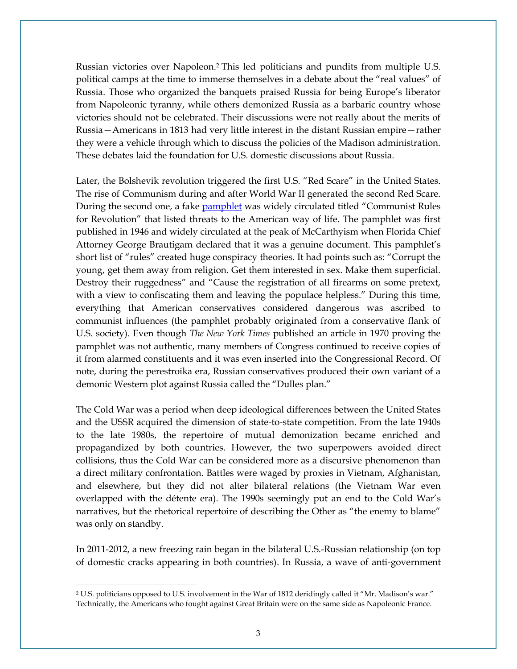Russian victories over Napoleon.<sup>2</sup> This led politicians and pundits from multiple U.S. political camps at the time to immerse themselves in a debate about the "real values" of Russia. Those who organized the banquets praised Russia for being Europe's liberator from Napoleonic tyranny, while others demonized Russia as a barbaric country whose victories should not be celebrated. Their discussions were not really about the merits of Russia—Americans in 1813 had very little interest in the distant Russian empire—rather they were a vehicle through which to discuss the policies of the Madison administration. These debates laid the foundation for U.S. domestic discussions about Russia.

Later, the Bolshevik revolution triggered the first U.S. "Red Scare" in the United States. The rise of Communism during and after World War II generated the second Red Scare. During the second one, a fake [pamphlet](https://www.snopes.com/history/document/communistrules.asp) was widely circulated titled "Communist Rules" for Revolution" that listed threats to the American way of life. The pamphlet was first published in 1946 and widely circulated at the peak of McCarthyism when Florida Chief Attorney George Brautigam declared that it was a genuine document. This pamphlet's short list of "rules" created huge conspiracy theories. It had points such as: "Corrupt the young, get them away from religion. Get them interested in sex. Make them superficial. Destroy their ruggedness" and "Cause the registration of all firearms on some pretext, with a view to confiscating them and leaving the populace helpless." During this time, everything that American conservatives considered dangerous was ascribed to communist influences (the pamphlet probably originated from a conservative flank of U.S. society). Even though *The New York Times* published an article in 1970 proving the pamphlet was not authentic, many members of Congress continued to receive copies of it from alarmed constituents and it was even inserted into the Congressional Record. Of note, during the perestroika era, Russian conservatives produced their own variant of a demonic Western plot against Russia called the "Dulles plan."

The Cold War was a period when deep ideological differences between the United States and the USSR acquired the dimension of state-to-state competition. From the late 1940s to the late 1980s, the repertoire of mutual demonization became enriched and propagandized by both countries. However, the two superpowers avoided direct collisions, thus the Cold War can be considered more as a discursive phenomenon than a direct military confrontation. Battles were waged by proxies in Vietnam, Afghanistan, and elsewhere, but they did not alter bilateral relations (the Vietnam War even overlapped with the détente era). The 1990s seemingly put an end to the Cold War's narratives, but the rhetorical repertoire of describing the Other as "the enemy to blame" was only on standby.

In 2011-2012, a new freezing rain began in the bilateral U.S.-Russian relationship (on top of domestic cracks appearing in both countries). In Russia, a wave of anti-government

 $\overline{a}$ 

<sup>2</sup> U.S. politicians opposed to U.S. involvement in the War of 1812 deridingly called it "Mr. Madison's war." Technically, the Americans who fought against Great Britain were on the same side as Napoleonic France.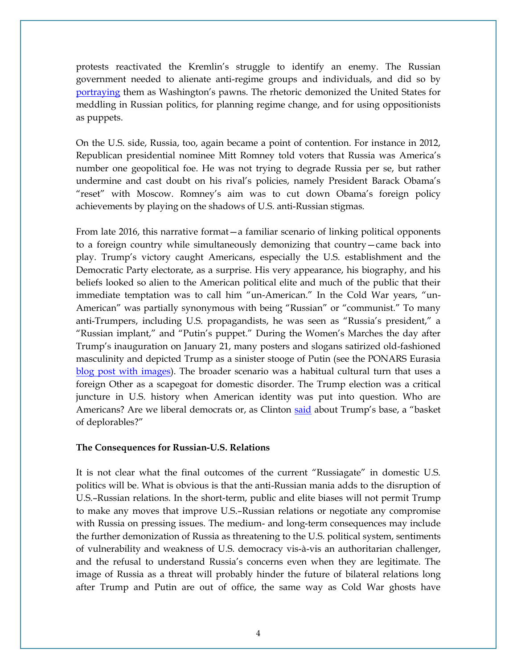protests reactivated the Kremlin's struggle to identify an enemy. The Russian government needed to alienate anti-regime groups and individuals, and did so by [portraying](https://www.theguardian.com/world/2011/dec/08/vladimir-putin-hillary-clinton-russia) them as Washington's pawns. The rhetoric demonized the United States for meddling in Russian politics, for planning regime change, and for using oppositionists as puppets.

On the U.S. side, Russia, too, again became a point of contention. For instance in 2012, Republican presidential nominee Mitt Romney told voters that Russia was America's number one geopolitical foe. He was not trying to degrade Russia per se, but rather undermine and cast doubt on his rival's policies, namely President Barack Obama's "reset" with Moscow. Romney's aim was to cut down Obama's foreign policy achievements by playing on the shadows of U.S. anti-Russian stigmas.

From late 2016, this narrative format—a familiar scenario of linking political opponents to a foreign country while simultaneously demonizing that country—came back into play. Trump's victory caught Americans, especially the U.S. establishment and the Democratic Party electorate, as a surprise. His very appearance, his biography, and his beliefs looked so alien to the American political elite and much of the public that their immediate temptation was to call him "un-American." In the Cold War years, "un-American" was partially synonymous with being "Russian" or "communist." To many anti-Trumpers, including U.S. propagandists, he was seen as "Russia's president," a "Russian implant," and "Putin's puppet." During the Women's Marches the day after Trump's inauguration on January 21, many posters and slogans satirized old-fashioned masculinity and depicted Trump as a sinister stooge of Putin (see the PONARS Eurasia [blog post with images\)](http://www.ponarseurasia.org/article/ponars-eurasia-discusses-depiction-russia-womens-marches-photos). The broader scenario was a habitual cultural turn that uses a foreign Other as a scapegoat for domestic disorder. The Trump election was a critical juncture in U.S. history when American identity was put into question. Who are Americans? Are we liberal democrats or, as Clinton [said](http://time.com/4486502/hillary-clinton-basket-of-deplorables-transcript/) about Trump's base, a "basket of deplorables?"

### **The Consequences for Russian-U.S. Relations**

It is not clear what the final outcomes of the current "Russiagate" in domestic U.S. politics will be. What is obvious is that the anti-Russian mania adds to the disruption of U.S.–Russian relations. In the short-term, public and elite biases will not permit Trump to make any moves that improve U.S.–Russian relations or negotiate any compromise with Russia on pressing issues. The medium- and long-term consequences may include the further demonization of Russia as threatening to the U.S. political system, sentiments of vulnerability and weakness of U.S. democracy vis-à-vis an authoritarian challenger, and the refusal to understand Russia's concerns even when they are legitimate. The image of Russia as a threat will probably hinder the future of bilateral relations long after Trump and Putin are out of office, the same way as Cold War ghosts have